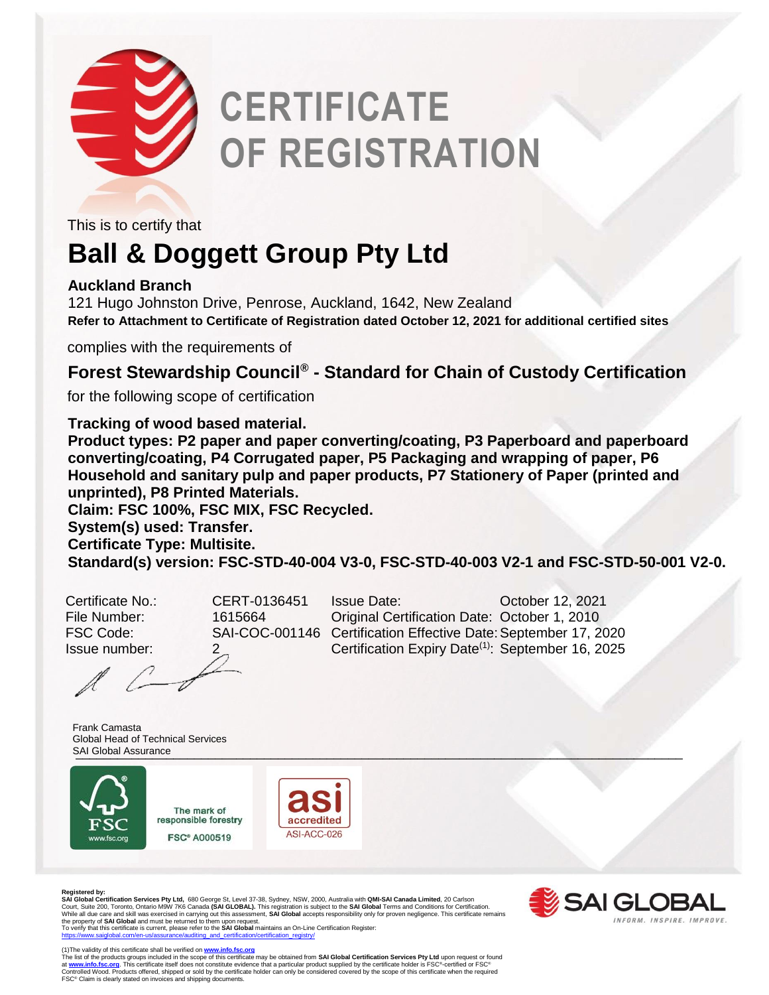

# **CERTIFICATE OF REGISTRATION**

This is to certify that

### **Ball & Doggett Group Pty Ltd**

#### **Auckland Branch**

121 Hugo Johnston Drive, Penrose, Auckland, 1642, New Zealand **Refer to Attachment to Certificate of Registration dated October 12, 2021 for additional certified sites**

complies with the requirements of

#### **Forest Stewardship Council® - Standard for Chain of Custody Certification**

for the following scope of certification

**Tracking of wood based material.**

**Product types: P2 paper and paper converting/coating, P3 Paperboard and paperboard converting/coating, P4 Corrugated paper, P5 Packaging and wrapping of paper, P6 Household and sanitary pulp and paper products, P7 Stationery of Paper (printed and unprinted), P8 Printed Materials.**

**Claim: FSC 100%, FSC MIX, FSC Recycled.**

**System(s) used: Transfer.**

**Certificate Type: Multisite.**

**Standard(s) version: FSC-STD-40-004 V3-0, FSC-STD-40-003 V2-1 and FSC-STD-50-001 V2-0.**

Certificate No.: CERT-0136451 Issue Date: October 12, 2021 File Number: 1615664 Original Certification Date: October 1, 2010 FSC Code: SAI-COC-001146 Certification Effective Date: September 17, 2020 Issue number: 2 Certification Expiry Date<sup>(1)</sup>: September 16, 2025

\_\_\_\_\_\_\_\_\_\_\_\_\_\_\_\_\_\_\_\_\_\_\_\_\_\_\_\_\_\_\_\_\_\_\_\_\_\_\_\_\_\_\_\_\_\_\_\_\_\_\_\_\_\_\_\_\_\_\_\_\_\_\_\_\_\_\_\_\_\_\_\_\_\_\_\_\_\_\_\_\_\_\_\_\_\_\_ SAI Global AssuranceFrank Camasta Global Head of Technical Services



The mark of responsible forestry **FSC® A000519** 





 $\sim$   $\sim$ 

**Registered by: SAI Global Certification Services Pty Ltd,** 680 George St, Level 37-38, Sydney, NSW, 2000, Australia with **QMI-SAI Canada Limited**, 20 Carlson Court, Suite 200, Toronto, Ontario M9W 7K6 Canada **(SAI GLOBAL).** This registration is subject to the **SAI Global** Terms and Conditions for Certification.<br>While all due care and skill was exercised in carrying out this ass the property of **SAI Global** and must be returned to them upon request. To verify that this certificate is current, please refer to the **SAI Global** maintains an On-Line Certification Register:

**EX SAIGLO** INFORM, INSPIRE, IMPROVE.

[https://www.saiglobal.com/en-us/assurance/auditing\\_and\\_certification/certification\\_registry/](http://www.qmi-saiglobal.com/qmi_companies)

(1)The validity of this certificate shall be verified on <u>[www.info.fsc.org](http://www.info.fsc.org/)</u><br>The list of the products groups included in the scope of this certificate may be obtained from **SAI Global Certification Services Pty Ltd** upon re